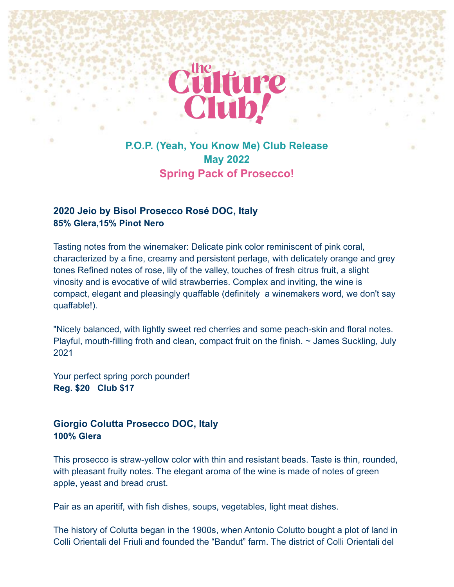

# **P.O.P. (Yeah, You Know Me) Club Release May 2022 Spring Pack of Prosecco!**

## **2020 Jeio by Bisol Prosecco Rosé DOC, Italy 85% Glera,15% Pinot Nero**

Tasting notes from the winemaker: Delicate pink color reminiscent of pink coral, characterized by a fine, creamy and persistent perlage, with delicately orange and grey tones Refined notes of rose, lily of the valley, touches of fresh citrus fruit, a slight vinosity and is evocative of wild strawberries. Complex and inviting, the wine is compact, elegant and pleasingly quaffable (definitely a winemakers word, we don't say quaffable!).

"Nicely balanced, with lightly sweet red cherries and some peach-skin and floral notes. Playful, mouth-filling froth and clean, compact fruit on the finish.  $\sim$  James Suckling, July 2021

Your perfect spring porch pounder! **Reg. \$20 Club \$17**

# **Giorgio Colutta Prosecco DOC, Italy 100% Glera**

This prosecco is straw-yellow color with thin and resistant beads. Taste is thin, rounded, with pleasant fruity notes. The elegant aroma of the wine is made of notes of green apple, yeast and bread crust.

Pair as an aperitif, with fish dishes, soups, vegetables, light meat dishes.

The history of Colutta began in the 1900s, when Antonio Colutto bought a plot of land in Colli Orientali del Friuli and founded the "Bandut" farm. The district of Colli Orientali del